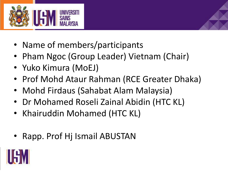

- Name of members/participants
- Pham Ngoc (Group Leader) Vietnam (Chair)
- Yuko Kimura (MoEJ)
- Prof Mohd Ataur Rahman (RCE Greater Dhaka)
- Mohd Firdaus (Sahabat Alam Malaysia)
- Dr Mohamed Roseli Zainal Abidin (HTC KL)
- Khairuddin Mohamed (HTC KL)
- Rapp. Prof Hj Ismail ABUSTAN

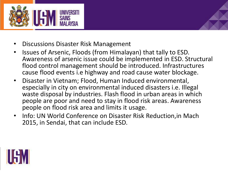

- Discussions Disaster Risk Management
- Issues of Arsenic, Floods (from Himalayan) that tally to ESD. Awareness of arsenic issue could be implemented in ESD. Structural flood control management should be introduced. Infrastructures cause flood events i.e highway and road cause water blockage.
- Disaster in Vietnam; Flood, Human Induced environmental, especially in city on environmental induced disasters i.e. Illegal waste disposal by industries. Flash flood in urban areas in which people are poor and need to stay in flood risk areas. Awareness people on flood risk area and limits it usage.
- Info: UN World Conference on Disaster Risk Reduction,in Mach 2015, in Sendai, that can include ESD.

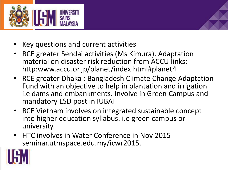

- Key questions and current activities
- RCE greater Sendai activities (Ms Kimura). Adaptation material on disaster risk reduction from ACCU links: http:www.accu.or.jp/planet/index.html#planet4
- RCE greater Dhaka : Bangladesh Climate Change Adaptation Fund with an objective to help in plantation and irrigation. i.e dams and embankments. Involve in Green Campus and mandatory ESD post in IUBAT
- RCE Vietnam involves on integrated sustainable concept into higher education syllabus. i.e green campus or university.
- HTC involves in Water Conference in Nov 2015 seminar.utmspace.edu.my/icwr2015.

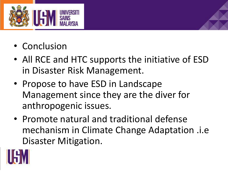

- Conclusion
- All RCE and HTC supports the initiative of ESD in Disaster Risk Management.
- Propose to have ESD in Landscape Management since they are the diver for anthropogenic issues.
- Promote natural and traditional defense mechanism in Climate Change Adaptation .i.e Disaster Mitigation.